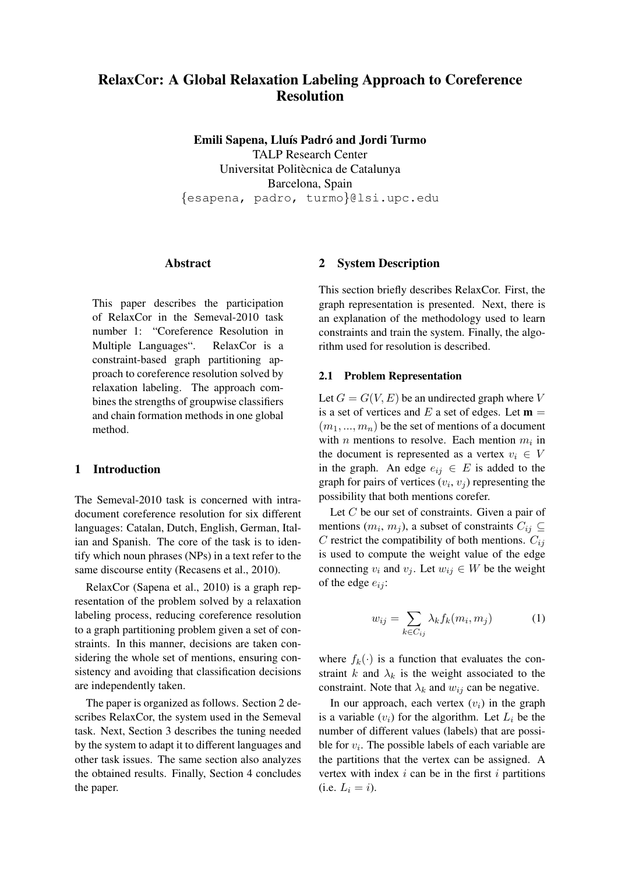# RelaxCor: A Global Relaxation Labeling Approach to Coreference Resolution

Emili Sapena, Lluís Padró and Jordi Turmo TALP Research Center Universitat Politècnica de Catalunya Barcelona, Spain {esapena, padro, turmo}@lsi.upc.edu

### Abstract

This paper describes the participation of RelaxCor in the Semeval-2010 task number 1: "Coreference Resolution in Multiple Languages". RelaxCor is a constraint-based graph partitioning approach to coreference resolution solved by relaxation labeling. The approach combines the strengths of groupwise classifiers and chain formation methods in one global method.

# 1 Introduction

The Semeval-2010 task is concerned with intradocument coreference resolution for six different languages: Catalan, Dutch, English, German, Italian and Spanish. The core of the task is to identify which noun phrases (NPs) in a text refer to the same discourse entity (Recasens et al., 2010).

RelaxCor (Sapena et al., 2010) is a graph representation of the problem solved by a relaxation labeling process, reducing coreference resolution to a graph partitioning problem given a set of constraints. In this manner, decisions are taken considering the whole set of mentions, ensuring consistency and avoiding that classification decisions are independently taken.

The paper is organized as follows. Section 2 describes RelaxCor, the system used in the Semeval task. Next, Section 3 describes the tuning needed by the system to adapt it to different languages and other task issues. The same section also analyzes the obtained results. Finally, Section 4 concludes the paper.

### 2 System Description

This section briefly describes RelaxCor. First, the graph representation is presented. Next, there is an explanation of the methodology used to learn constraints and train the system. Finally, the algorithm used for resolution is described.

#### 2.1 Problem Representation

Let  $G = G(V, E)$  be an undirected graph where V is a set of vertices and E a set of edges. Let  $\mathbf{m} =$  $(m_1, ..., m_n)$  be the set of mentions of a document with *n* mentions to resolve. Each mention  $m_i$  in the document is represented as a vertex  $v_i \in V$ in the graph. An edge  $e_{ij} \in E$  is added to the graph for pairs of vertices  $(v_i, v_j)$  representing the possibility that both mentions corefer.

Let  $C$  be our set of constraints. Given a pair of mentions  $(m_i, m_j)$ , a subset of constraints  $C_{ij} \subseteq$ C restrict the compatibility of both mentions.  $C_{ij}$ is used to compute the weight value of the edge connecting  $v_i$  and  $v_j$ . Let  $w_{ij} \in W$  be the weight of the edge  $e_{ij}$ :

$$
w_{ij} = \sum_{k \in C_{ij}} \lambda_k f_k(m_i, m_j) \tag{1}
$$

where  $f_k(\cdot)$  is a function that evaluates the constraint k and  $\lambda_k$  is the weight associated to the constraint. Note that  $\lambda_k$  and  $w_{ij}$  can be negative.

In our approach, each vertex  $(v_i)$  in the graph is a variable  $(v_i)$  for the algorithm. Let  $L_i$  be the number of different values (labels) that are possible for  $v_i$ . The possible labels of each variable are the partitions that the vertex can be assigned. A vertex with index  $i$  can be in the first  $i$  partitions (i.e.  $L_i = i$ ).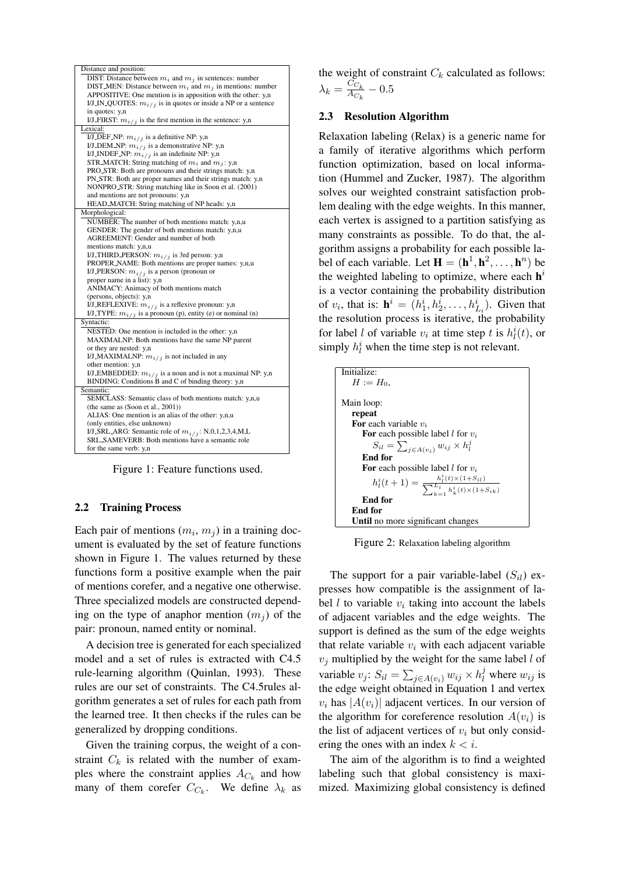| Distance and position:                                             |
|--------------------------------------------------------------------|
| DIST: Distance between $m_i$ and $m_j$ in sentences: number        |
| DIST_MEN: Distance between $m_i$ and $m_j$ in mentions: number     |
| APPOSITIVE: One mention is in apposition with the other: y,n       |
| I/J_IN_QUOTES: $m_{i/j}$ is in quotes or inside a NP or a sentence |
| in quotes: y,n                                                     |
| I/J_FIRST: $m_{i/j}$ is the first mention in the sentence: y,n     |
| Lexical:                                                           |
| I/J_DEF_NP: $m_{i/j}$ is a definitive NP: y,n                      |
| I/J_DEM_NP: $m_{i/j}$ is a demonstrative NP: y,n                   |
| I/J_INDEF_NP: $m_{i/j}$ is an indefinite NP: y,n                   |
| STR_MATCH: String matching of $m_i$ and $m_j$ : y,n                |
| PRO_STR: Both are pronouns and their strings match: y,n            |
| PN_STR: Both are proper names and their strings match: y,n         |
| NONPRO_STR: String matching like in Soon et al. (2001)             |
| and mentions are not pronouns: y,n                                 |
| HEAD_MATCH: String matching of NP heads: y,n                       |
| Morphological:                                                     |
| NUMBER: The number of both mentions match: y,n,u                   |
| GENDER: The gender of both mentions match: y,n,u                   |
| AGREEMENT: Gender and number of both                               |
| mentions match: y,n,u                                              |
| I/J_THIRD_PERSON: $m_{i/j}$ is 3rd person: y,n                     |
| PROPER_NAME: Both mentions are proper names: y,n,u                 |
| I/J_PERSON: $m_{i/j}$ is a person (pronoun or                      |
| proper name in a list): y,n                                        |
| ANIMACY: Animacy of both mentions match                            |
| (persons, objects): y,n                                            |
| I/J_REFLEXIVE: $m_{i/j}$ is a reflexive pronoun: y,n               |
| I/J_TYPE: $m_{i/j}$ is a pronoun (p), entity (e) or nominal (n)    |
| Syntactic:                                                         |
| NESTED: One mention is included in the other: y,n                  |
| MAXIMALNP: Both mentions have the same NP parent                   |
| or they are nested: y,n                                            |
| I/J_MAXIMALNP: $m_{i/j}$ is not included in any                    |
| other mention: y,n                                                 |
| I/J_EMBEDDED: $m_{i/j}$ is a noun and is not a maximal NP: y,n     |
| BINDING: Conditions B and C of binding theory: y,n                 |
| Semantic:                                                          |
| SEMCLASS: Semantic class of both mentions match: y,n,u             |
| (the same as $(Soon et al., 2001)$ )                               |
| ALIAS: One mention is an alias of the other: y,n,u                 |
| (only entities, else unknown)                                      |
| I/J_SRL_ARG: Semantic role of $m_{i/j}$ : N,0,1,2,3,4,M,L          |
| SRL_SAMEVERB: Both mentions have a semantic role                   |
| for the same verb: y,n                                             |
|                                                                    |

Figure 1: Feature functions used.

### 2.2 Training Process

Each pair of mentions  $(m_i, m_j)$  in a training document is evaluated by the set of feature functions shown in Figure 1. The values returned by these functions form a positive example when the pair of mentions corefer, and a negative one otherwise. Three specialized models are constructed depending on the type of anaphor mention  $(m_i)$  of the pair: pronoun, named entity or nominal.

A decision tree is generated for each specialized model and a set of rules is extracted with C4.5 rule-learning algorithm (Quinlan, 1993). These rules are our set of constraints. The C4.5rules algorithm generates a set of rules for each path from the learned tree. It then checks if the rules can be generalized by dropping conditions.

Given the training corpus, the weight of a constraint  $C_k$  is related with the number of examples where the constraint applies  $A_{C_k}$  and how many of them corefer  $C_{C_k}$ . We define  $\lambda_k$  as the weight of constraint  $C_k$  calculated as follows:  $\lambda_k = \frac{C_{C_k}}{A_C}$  $\frac{C_{C_k}}{A_{C_k}}$  —  $0.5$ 

### 2.3 Resolution Algorithm

Relaxation labeling (Relax) is a generic name for a family of iterative algorithms which perform function optimization, based on local information (Hummel and Zucker, 1987). The algorithm solves our weighted constraint satisfaction problem dealing with the edge weights. In this manner, each vertex is assigned to a partition satisfying as many constraints as possible. To do that, the algorithm assigns a probability for each possible label of each variable. Let  $\mathbf{H} = (\mathbf{h}^1, \mathbf{h}^2, \dots, \mathbf{h}^n)$  be the weighted labeling to optimize, where each  $h^{i}$ is a vector containing the probability distribution of  $v_i$ , that is:  $\mathbf{h}^i = (h_1^i, h_2^i, \dots, h_{L_i}^i)$ . Given that the resolution process is iterative, the probability for label *l* of variable  $v_i$  at time step *t* is  $h_l^i(t)$ , or simply  $h_l^i$  when the time step is not relevant.

| Initialize:                                                                                       |
|---------------------------------------------------------------------------------------------------|
| $H := H_0$ .                                                                                      |
|                                                                                                   |
| Main loop:                                                                                        |
| repeat                                                                                            |
| <b>For</b> each variable $v_i$                                                                    |
| For each possible label l for $v_i$                                                               |
| $S_{il} = \sum_{j \in A(v_i)} w_{ij} \times h_l^j$                                                |
| End for                                                                                           |
| For each possible label l for $v_i$                                                               |
| $h_l^i(t+1) = \frac{h_l^i(t) \times (1 + S_{il})}{\sum_{k=1}^{L_i} h_k^i(t) \times (1 + S_{ik})}$ |
| End for                                                                                           |
| End for                                                                                           |
| Until no more significant changes                                                                 |

Figure 2: Relaxation labeling algorithm

The support for a pair variable-label  $(S_{il})$  expresses how compatible is the assignment of label  $l$  to variable  $v_i$  taking into account the labels of adjacent variables and the edge weights. The support is defined as the sum of the edge weights that relate variable  $v_i$  with each adjacent variable  $v_j$  multiplied by the weight for the same label  $l$  of variable  $v_j$ :  $S_{il} = \sum_{j \in A(v_i)} w_{ij} \times h_i^j$  where  $w_{ij}$  is the edge weight obtained in Equation 1 and vertex  $v_i$  has  $|A(v_i)|$  adjacent vertices. In our version of the algorithm for coreference resolution  $A(v_i)$  is the list of adjacent vertices of  $v_i$  but only considering the ones with an index  $k < i$ .

The aim of the algorithm is to find a weighted labeling such that global consistency is maximized. Maximizing global consistency is defined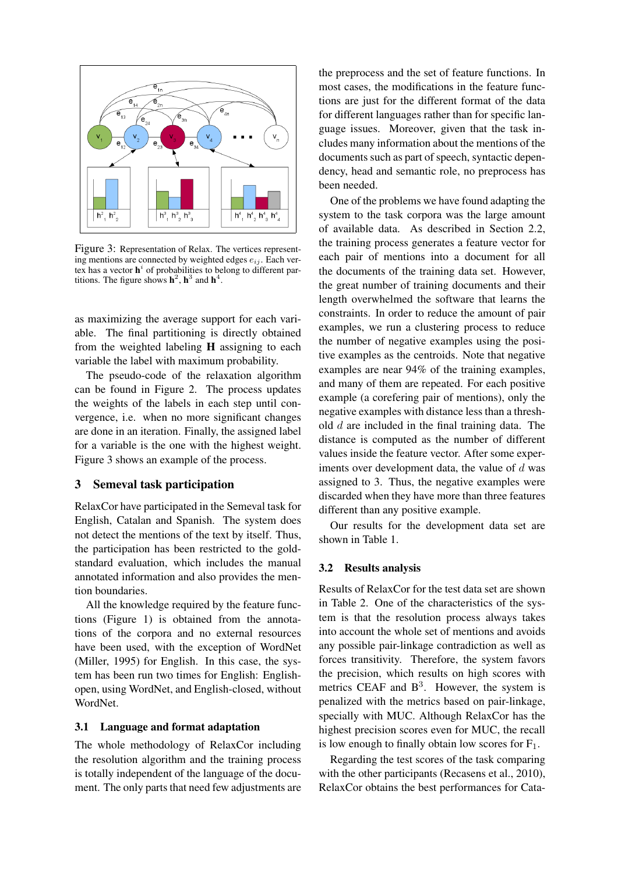

Figure 3: Representation of Relax. The vertices representing mentions are connected by weighted edges  $e_{ij}$ . Each vertex has a vector  $h^i$  of probabilities to belong to different partitions. The figure shows  $h^2$ ,  $h^3$  and  $h^4$ .

as maximizing the average support for each variable. The final partitioning is directly obtained from the weighted labeling H assigning to each variable the label with maximum probability.

The pseudo-code of the relaxation algorithm can be found in Figure 2. The process updates the weights of the labels in each step until convergence, i.e. when no more significant changes are done in an iteration. Finally, the assigned label for a variable is the one with the highest weight. Figure 3 shows an example of the process.

# 3 Semeval task participation

RelaxCor have participated in the Semeval task for English, Catalan and Spanish. The system does not detect the mentions of the text by itself. Thus, the participation has been restricted to the goldstandard evaluation, which includes the manual annotated information and also provides the mention boundaries.

All the knowledge required by the feature functions (Figure 1) is obtained from the annotations of the corpora and no external resources have been used, with the exception of WordNet (Miller, 1995) for English. In this case, the system has been run two times for English: Englishopen, using WordNet, and English-closed, without WordNet.

### 3.1 Language and format adaptation

The whole methodology of RelaxCor including the resolution algorithm and the training process is totally independent of the language of the document. The only parts that need few adjustments are the preprocess and the set of feature functions. In most cases, the modifications in the feature functions are just for the different format of the data for different languages rather than for specific language issues. Moreover, given that the task includes many information about the mentions of the documents such as part of speech, syntactic dependency, head and semantic role, no preprocess has been needed.

One of the problems we have found adapting the system to the task corpora was the large amount of available data. As described in Section 2.2, the training process generates a feature vector for each pair of mentions into a document for all the documents of the training data set. However, the great number of training documents and their length overwhelmed the software that learns the constraints. In order to reduce the amount of pair examples, we run a clustering process to reduce the number of negative examples using the positive examples as the centroids. Note that negative examples are near 94% of the training examples, and many of them are repeated. For each positive example (a corefering pair of mentions), only the negative examples with distance less than a threshold  $d$  are included in the final training data. The distance is computed as the number of different values inside the feature vector. After some experiments over development data, the value of  $d$  was assigned to 3. Thus, the negative examples were discarded when they have more than three features different than any positive example.

Our results for the development data set are shown in Table 1.

### 3.2 Results analysis

Results of RelaxCor for the test data set are shown in Table 2. One of the characteristics of the system is that the resolution process always takes into account the whole set of mentions and avoids any possible pair-linkage contradiction as well as forces transitivity. Therefore, the system favors the precision, which results on high scores with metrics CEAF and  $B<sup>3</sup>$ . However, the system is penalized with the metrics based on pair-linkage, specially with MUC. Although RelaxCor has the highest precision scores even for MUC, the recall is low enough to finally obtain low scores for  $F_1$ .

Regarding the test scores of the task comparing with the other participants (Recasens et al., 2010), RelaxCor obtains the best performances for Cata-